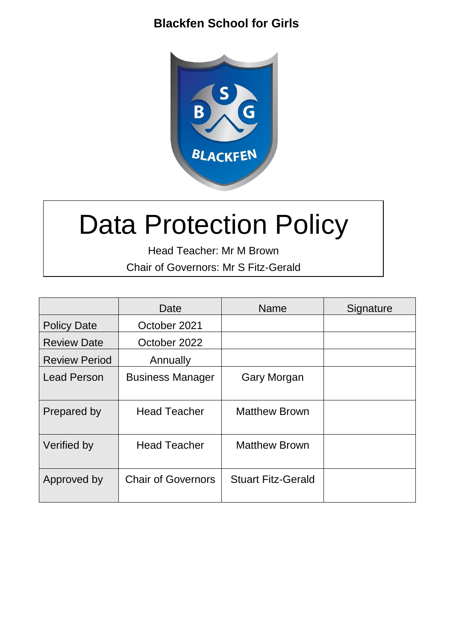

# Data Protection Policy

Head Teacher: Mr M Brown

Chair of Governors: Mr S Fitz-Gerald

|                      | Date                      | <b>Name</b>               | Signature |
|----------------------|---------------------------|---------------------------|-----------|
| <b>Policy Date</b>   | October 2021              |                           |           |
| <b>Review Date</b>   | October 2022              |                           |           |
| <b>Review Period</b> | Annually                  |                           |           |
| <b>Lead Person</b>   | <b>Business Manager</b>   | <b>Gary Morgan</b>        |           |
| Prepared by          | <b>Head Teacher</b>       | <b>Matthew Brown</b>      |           |
| Verified by          | <b>Head Teacher</b>       | <b>Matthew Brown</b>      |           |
| Approved by          | <b>Chair of Governors</b> | <b>Stuart Fitz-Gerald</b> |           |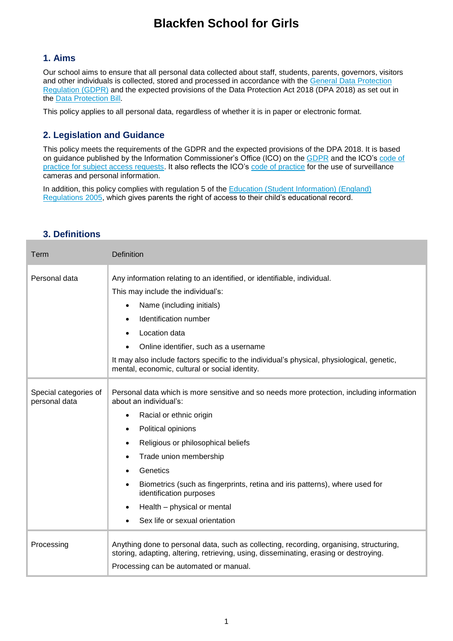# **1. Aims**

Our school aims to ensure that all personal data collected about staff, students, parents, governors, visitors and other individuals is collected, stored and processed in accordance with the [General Data Protection](http://data.consilium.europa.eu/doc/document/ST-5419-2016-INIT/en/pdf)  [Regulation \(GDPR\)](http://data.consilium.europa.eu/doc/document/ST-5419-2016-INIT/en/pdf) and the expected provisions of the Data Protection Act 2018 (DPA 2018) as set out in the [Data Protection Bill.](https://publications.parliament.uk/pa/bills/cbill/2017-2019/0153/18153.pdf)

This policy applies to all personal data, regardless of whether it is in paper or electronic format.

# **2. Legislation and Guidance**

This policy meets the requirements of the GDPR and the expected provisions of the DPA 2018. It is based on guidance published by the Information Commissioner's Office (ICO) on the [GDPR](https://ico.org.uk/for-organisations/guide-to-the-general-data-protection-regulation-gdpr/) and the ICO's [code of](https://ico.org.uk/media/for-organisations/documents/2014223/subject-access-code-of-practice.pdf)  [practice for subject access requests.](https://ico.org.uk/media/for-organisations/documents/2014223/subject-access-code-of-practice.pdf) It also reflects the ICO's [code of practice](https://ico.org.uk/media/for-organisations/documents/1542/cctv-code-of-practice.pdf) for the use of surveillance cameras and personal information.

In addition, this policy complies with regulation 5 of the **Education (Student Information)** (England) [Regulations 2005,](http://www.legislation.gov.uk/uksi/2005/1437/regulation/5/made) which gives parents the right of access to their child's educational record.

| <b>3. Definitions</b> |  |
|-----------------------|--|
|                       |  |

| Term                                   | Definition                                                                                                                                                                                                                                                                                                                                                                                                                                            |
|----------------------------------------|-------------------------------------------------------------------------------------------------------------------------------------------------------------------------------------------------------------------------------------------------------------------------------------------------------------------------------------------------------------------------------------------------------------------------------------------------------|
| Personal data                          | Any information relating to an identified, or identifiable, individual.<br>This may include the individual's:<br>Name (including initials)<br>Identification number<br>Location data<br>Online identifier, such as a username<br>It may also include factors specific to the individual's physical, physiological, genetic,<br>mental, economic, cultural or social identity.                                                                         |
| Special categories of<br>personal data | Personal data which is more sensitive and so needs more protection, including information<br>about an individual's:<br>Racial or ethnic origin<br>$\bullet$<br>Political opinions<br>Religious or philosophical beliefs<br>$\bullet$<br>Trade union membership<br>Genetics<br>Biometrics (such as fingerprints, retina and iris patterns), where used for<br>identification purposes<br>Health - physical or mental<br>Sex life or sexual orientation |
| Processing                             | Anything done to personal data, such as collecting, recording, organising, structuring,<br>storing, adapting, altering, retrieving, using, disseminating, erasing or destroying.<br>Processing can be automated or manual.                                                                                                                                                                                                                            |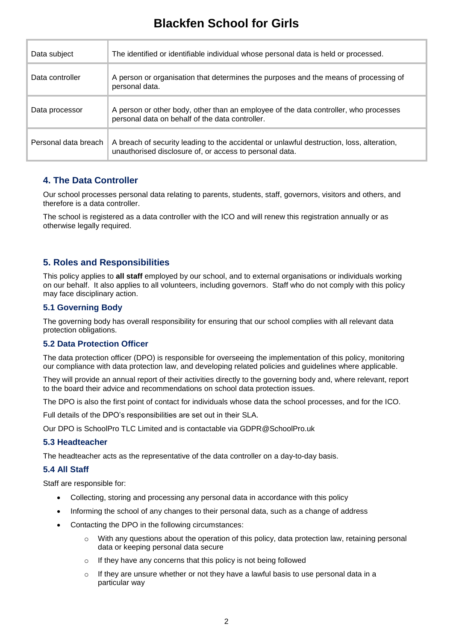| Data subject         | The identified or identifiable individual whose personal data is held or processed.                                                                  |
|----------------------|------------------------------------------------------------------------------------------------------------------------------------------------------|
| Data controller      | A person or organisation that determines the purposes and the means of processing of<br>personal data.                                               |
| Data processor       | A person or other body, other than an employee of the data controller, who processes<br>personal data on behalf of the data controller.              |
| Personal data breach | A breach of security leading to the accidental or unlawful destruction, loss, alteration,<br>unauthorised disclosure of, or access to personal data. |

# **4. The Data Controller**

Our school processes personal data relating to parents, students, staff, governors, visitors and others, and therefore is a data controller.

The school is registered as a data controller with the ICO and will renew this registration annually or as otherwise legally required.

## **5. Roles and Responsibilities**

This policy applies to **all staff** employed by our school, and to external organisations or individuals working on our behalf. It also applies to all volunteers, including governors. Staff who do not comply with this policy may face disciplinary action.

### **5.1 Governing Body**

The governing body has overall responsibility for ensuring that our school complies with all relevant data protection obligations.

### **5.2 Data Protection Officer**

The data protection officer (DPO) is responsible for overseeing the implementation of this policy, monitoring our compliance with data protection law, and developing related policies and guidelines where applicable.

They will provide an annual report of their activities directly to the governing body and, where relevant, report to the board their advice and recommendations on school data protection issues.

The DPO is also the first point of contact for individuals whose data the school processes, and for the ICO.

Full details of the DPO's responsibilities are set out in their SLA.

Our DPO is SchoolPro TLC Limited and is contactable via GDPR@SchoolPro.uk

#### **5.3 Headteacher**

The headteacher acts as the representative of the data controller on a day-to-day basis.

#### **5.4 All Staff**

Staff are responsible for:

- Collecting, storing and processing any personal data in accordance with this policy
- Informing the school of any changes to their personal data, such as a change of address
- Contacting the DPO in the following circumstances:
	- $\circ$  With any questions about the operation of this policy, data protection law, retaining personal data or keeping personal data secure
	- o If they have any concerns that this policy is not being followed
	- $\circ$  If they are unsure whether or not they have a lawful basis to use personal data in a particular way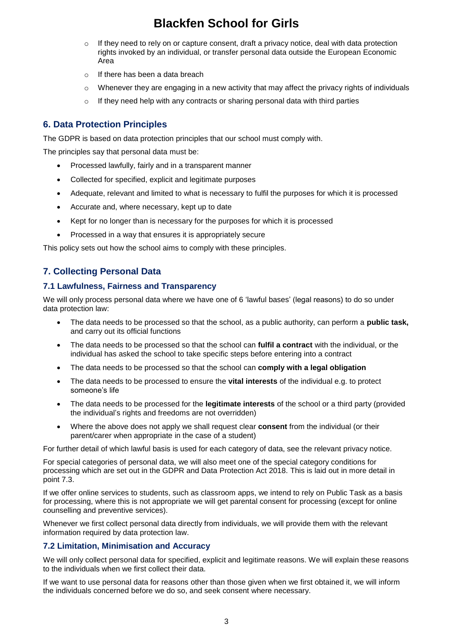- $\circ$  If they need to rely on or capture consent, draft a privacy notice, deal with data protection rights invoked by an individual, or transfer personal data outside the European Economic Area
- If there has been a data breach
- $\circ$  Whenever they are engaging in a new activity that may affect the privacy rights of individuals
- o If they need help with any contracts or sharing personal data with third parties

### **6. Data Protection Principles**

The GDPR is based on data protection principles that our school must comply with.

The principles say that personal data must be:

- Processed lawfully, fairly and in a transparent manner
- Collected for specified, explicit and legitimate purposes
- Adequate, relevant and limited to what is necessary to fulfil the purposes for which it is processed
- Accurate and, where necessary, kept up to date
- Kept for no longer than is necessary for the purposes for which it is processed
- Processed in a way that ensures it is appropriately secure

This policy sets out how the school aims to comply with these principles.

### **7. Collecting Personal Data**

#### **7.1 Lawfulness, Fairness and Transparency**

We will only process personal data where we have one of 6 'lawful bases' (legal reasons) to do so under data protection law:

- The data needs to be processed so that the school, as a public authority, can perform a **public task,** and carry out its official functions
- The data needs to be processed so that the school can **fulfil a contract** with the individual, or the individual has asked the school to take specific steps before entering into a contract
- The data needs to be processed so that the school can **comply with a legal obligation**
- The data needs to be processed to ensure the **vital interests** of the individual e.g. to protect someone's life
- The data needs to be processed for the **legitimate interests** of the school or a third party (provided the individual's rights and freedoms are not overridden)
- Where the above does not apply we shall request clear **consent** from the individual (or their parent/carer when appropriate in the case of a student)

For further detail of which lawful basis is used for each category of data, see the relevant privacy notice.

For special categories of personal data, we will also meet one of the special category conditions for processing which are set out in the GDPR and Data Protection Act 2018. This is laid out in more detail in point 7.3.

If we offer online services to students, such as classroom apps, we intend to rely on Public Task as a basis for processing, where this is not appropriate we will get parental consent for processing (except for online counselling and preventive services).

Whenever we first collect personal data directly from individuals, we will provide them with the relevant information required by data protection law.

#### **7.2 Limitation, Minimisation and Accuracy**

We will only collect personal data for specified, explicit and legitimate reasons. We will explain these reasons to the individuals when we first collect their data.

If we want to use personal data for reasons other than those given when we first obtained it, we will inform the individuals concerned before we do so, and seek consent where necessary.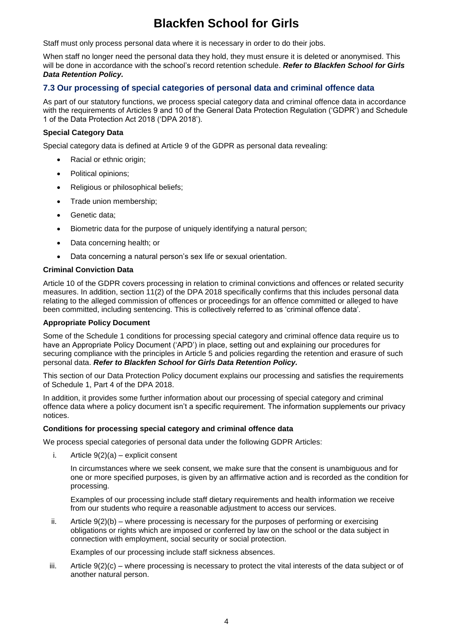Staff must only process personal data where it is necessary in order to do their jobs.

When staff no longer need the personal data they hold, they must ensure it is deleted or anonymised. This will be done in accordance with the school's record retention schedule. *Refer to Blackfen School for Girls Data Retention Policy.* 

### **7.3 Our processing of special categories of personal data and criminal offence data**

As part of our statutory functions, we process special category data and criminal offence data in accordance with the requirements of Articles 9 and 10 of the General Data Protection Regulation ('GDPR') and Schedule 1 of the Data Protection Act 2018 ('DPA 2018').

#### **Special Category Data**

Special category data is defined at Article 9 of the GDPR as personal data revealing:

- Racial or ethnic origin;
- Political opinions;
- Religious or philosophical beliefs;
- Trade union membership;
- Genetic data;
- Biometric data for the purpose of uniquely identifying a natural person;
- Data concerning health; or
- Data concerning a natural person's sex life or sexual orientation.

#### **Criminal Conviction Data**

Article 10 of the GDPR covers processing in relation to criminal convictions and offences or related security measures. In addition, section 11(2) of the DPA 2018 specifically confirms that this includes personal data relating to the alleged commission of offences or proceedings for an offence committed or alleged to have been committed, including sentencing. This is collectively referred to as 'criminal offence data'.

#### **Appropriate Policy Document**

Some of the Schedule 1 conditions for processing special category and criminal offence data require us to have an Appropriate Policy Document ('APD') in place, setting out and explaining our procedures for securing compliance with the principles in Article 5 and policies regarding the retention and erasure of such personal data. *Refer to Blackfen School for Girls Data Retention Policy.* 

This section of our Data Protection Policy document explains our processing and satisfies the requirements of Schedule 1, Part 4 of the DPA 2018.

In addition, it provides some further information about our processing of special category and criminal offence data where a policy document isn't a specific requirement. The information supplements our privacy notices.

#### **Conditions for processing special category and criminal offence data**

We process special categories of personal data under the following GDPR Articles:

i. Article 9(2)(a) – explicit consent

In circumstances where we seek consent, we make sure that the consent is unambiguous and for one or more specified purposes, is given by an affirmative action and is recorded as the condition for processing.

Examples of our processing include staff dietary requirements and health information we receive from our students who require a reasonable adjustment to access our services.

ii. Article 9(2)(b) – where processing is necessary for the purposes of performing or exercising obligations or rights which are imposed or conferred by law on the school or the data subject in connection with employment, social security or social protection.

Examples of our processing include staff sickness absences.

iii. Article 9(2)(c) – where processing is necessary to protect the vital interests of the data subject or of another natural person.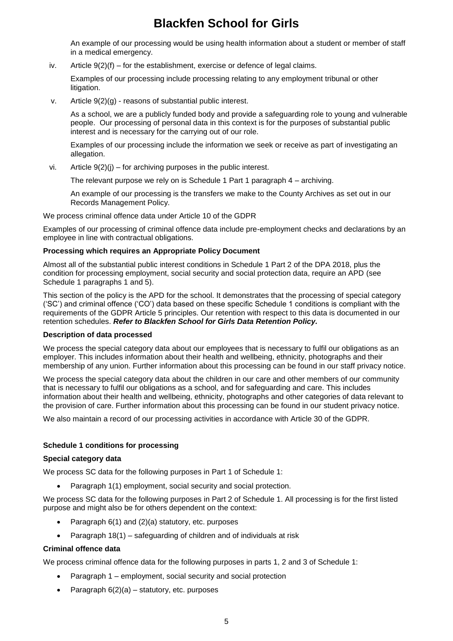An example of our processing would be using health information about a student or member of staff in a medical emergency.

iv. Article  $9(2)(f)$  – for the establishment, exercise or defence of legal claims.

Examples of our processing include processing relating to any employment tribunal or other litigation.

v. Article 9(2)(g) - reasons of substantial public interest.

As a school, we are a publicly funded body and provide a safeguarding role to young and vulnerable people. Our processing of personal data in this context is for the purposes of substantial public interest and is necessary for the carrying out of our role.

Examples of our processing include the information we seek or receive as part of investigating an allegation.

vi. Article 9(2)(j) – for archiving purposes in the public interest.

The relevant purpose we rely on is Schedule 1 Part 1 paragraph 4 – archiving.

An example of our processing is the transfers we make to the County Archives as set out in our Records Management Policy.

We process criminal offence data under Article 10 of the GDPR

Examples of our processing of criminal offence data include pre-employment checks and declarations by an employee in line with contractual obligations.

#### **Processing which requires an Appropriate Policy Document**

Almost all of the substantial public interest conditions in Schedule 1 Part 2 of the DPA 2018, plus the condition for processing employment, social security and social protection data, require an APD (see Schedule 1 paragraphs 1 and 5).

This section of the policy is the APD for the school. It demonstrates that the processing of special category ('SC') and criminal offence ('CO') data based on these specific Schedule 1 conditions is compliant with the requirements of the GDPR Article 5 principles. Our retention with respect to this data is documented in our retention schedules. *Refer to Blackfen School for Girls Data Retention Policy.* 

#### **Description of data processed**

We process the special category data about our employees that is necessary to fulfil our obligations as an employer. This includes information about their health and wellbeing, ethnicity, photographs and their membership of any union. Further information about this processing can be found in our staff privacy notice.

We process the special category data about the children in our care and other members of our community that is necessary to fulfil our obligations as a school, and for safeguarding and care. This includes information about their health and wellbeing, ethnicity, photographs and other categories of data relevant to the provision of care. Further information about this processing can be found in our student privacy notice.

We also maintain a record of our processing activities in accordance with Article 30 of the GDPR.

#### **Schedule 1 conditions for processing**

#### **Special category data**

We process SC data for the following purposes in Part 1 of Schedule 1:

Paragraph 1(1) employment, social security and social protection.

We process SC data for the following purposes in Part 2 of Schedule 1. All processing is for the first listed purpose and might also be for others dependent on the context:

- Paragraph 6(1) and (2)(a) statutory, etc. purposes
- Paragraph 18(1) safeguarding of children and of individuals at risk

#### **Criminal offence data**

We process criminal offence data for the following purposes in parts 1, 2 and 3 of Schedule 1:

- Paragraph 1 employment, social security and social protection
- Paragraph 6(2)(a) statutory, etc. purposes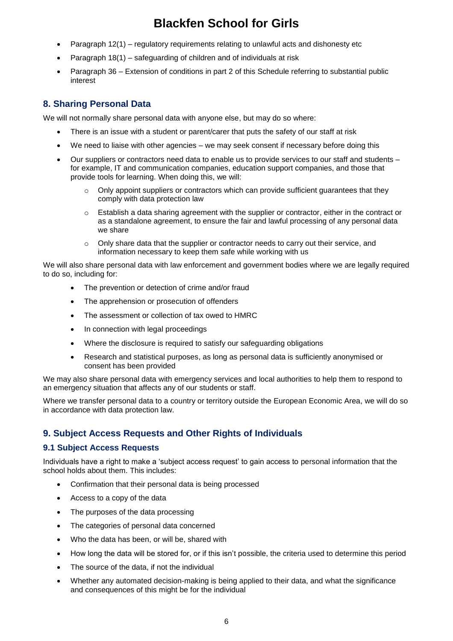- Paragraph 12(1) regulatory requirements relating to unlawful acts and dishonesty etc
- Paragraph 18(1) safeguarding of children and of individuals at risk
- Paragraph 36 Extension of conditions in part 2 of this Schedule referring to substantial public interest

# **8. Sharing Personal Data**

We will not normally share personal data with anyone else, but may do so where:

- There is an issue with a student or parent/carer that puts the safety of our staff at risk
- We need to liaise with other agencies we may seek consent if necessary before doing this
- Our suppliers or contractors need data to enable us to provide services to our staff and students for example, IT and communication companies, education support companies, and those that provide tools for learning. When doing this, we will:
	- $\circ$  Only appoint suppliers or contractors which can provide sufficient guarantees that they comply with data protection law
	- o Establish a data sharing agreement with the supplier or contractor, either in the contract or as a standalone agreement, to ensure the fair and lawful processing of any personal data we share
	- $\circ$  Only share data that the supplier or contractor needs to carry out their service, and information necessary to keep them safe while working with us

We will also share personal data with law enforcement and government bodies where we are legally required to do so, including for:

- The prevention or detection of crime and/or fraud
- The apprehension or prosecution of offenders
- The assessment or collection of tax owed to HMRC
- In connection with legal proceedings
- Where the disclosure is required to satisfy our safeguarding obligations
- Research and statistical purposes, as long as personal data is sufficiently anonymised or consent has been provided

We may also share personal data with emergency services and local authorities to help them to respond to an emergency situation that affects any of our students or staff.

Where we transfer personal data to a country or territory outside the European Economic Area, we will do so in accordance with data protection law.

# **9. Subject Access Requests and Other Rights of Individuals**

# **9.1 Subject Access Requests**

Individuals have a right to make a 'subject access request' to gain access to personal information that the school holds about them. This includes:

- Confirmation that their personal data is being processed
- Access to a copy of the data
- The purposes of the data processing
- The categories of personal data concerned
- Who the data has been, or will be, shared with
- How long the data will be stored for, or if this isn't possible, the criteria used to determine this period
- The source of the data, if not the individual
- Whether any automated decision-making is being applied to their data, and what the significance and consequences of this might be for the individual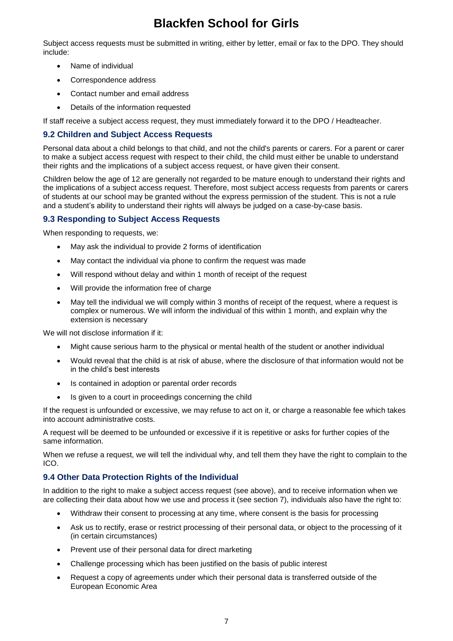Subject access requests must be submitted in writing, either by letter, email or fax to the DPO. They should include:

- Name of individual
- Correspondence address
- Contact number and email address
- Details of the information requested

If staff receive a subject access request, they must immediately forward it to the DPO / Headteacher.

#### **9.2 Children and Subject Access Requests**

Personal data about a child belongs to that child, and not the child's parents or carers. For a parent or carer to make a subject access request with respect to their child, the child must either be unable to understand their rights and the implications of a subject access request, or have given their consent.

Children below the age of 12 are generally not regarded to be mature enough to understand their rights and the implications of a subject access request. Therefore, most subject access requests from parents or carers of students at our school may be granted without the express permission of the student. This is not a rule and a student's ability to understand their rights will always be judged on a case-by-case basis.

#### **9.3 Responding to Subject Access Requests**

When responding to requests, we:

- May ask the individual to provide 2 forms of identification
- May contact the individual via phone to confirm the request was made
- Will respond without delay and within 1 month of receipt of the request
- Will provide the information free of charge
- May tell the individual we will comply within 3 months of receipt of the request, where a request is complex or numerous. We will inform the individual of this within 1 month, and explain why the extension is necessary

We will not disclose information if it:

- Might cause serious harm to the physical or mental health of the student or another individual
- Would reveal that the child is at risk of abuse, where the disclosure of that information would not be in the child's best interests
- Is contained in adoption or parental order records
- Is given to a court in proceedings concerning the child

If the request is unfounded or excessive, we may refuse to act on it, or charge a reasonable fee which takes into account administrative costs.

A request will be deemed to be unfounded or excessive if it is repetitive or asks for further copies of the same information.

When we refuse a request, we will tell the individual why, and tell them they have the right to complain to the ICO.

### **9.4 Other Data Protection Rights of the Individual**

In addition to the right to make a subject access request (see above), and to receive information when we are collecting their data about how we use and process it (see section 7), individuals also have the right to:

- Withdraw their consent to processing at any time, where consent is the basis for processing
- Ask us to rectify, erase or restrict processing of their personal data, or object to the processing of it (in certain circumstances)
- Prevent use of their personal data for direct marketing
- Challenge processing which has been justified on the basis of public interest
- Request a copy of agreements under which their personal data is transferred outside of the European Economic Area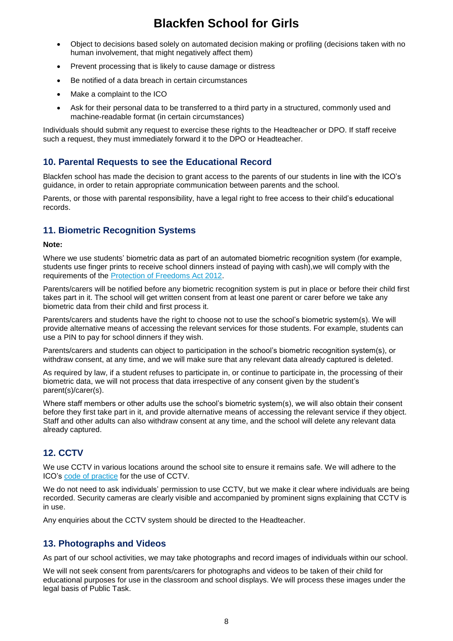- Object to decisions based solely on automated decision making or profiling (decisions taken with no human involvement, that might negatively affect them)
- Prevent processing that is likely to cause damage or distress
- Be notified of a data breach in certain circumstances
- Make a complaint to the ICO
- Ask for their personal data to be transferred to a third party in a structured, commonly used and machine-readable format (in certain circumstances)

Individuals should submit any request to exercise these rights to the Headteacher or DPO. If staff receive such a request, they must immediately forward it to the DPO or Headteacher.

### **10. Parental Requests to see the Educational Record**

Blackfen school has made the decision to grant access to the parents of our students in line with the ICO's guidance, in order to retain appropriate communication between parents and the school.

Parents, or those with parental responsibility, have a legal right to free access to their child's educational records.

## **11. Biometric Recognition Systems**

#### **Note:**

Where we use students' biometric data as part of an automated biometric recognition system (for example, students use finger prints to receive school dinners instead of paying with cash),we will comply with the requirements of the [Protection of Freedoms Act 2012.](https://www.legislation.gov.uk/ukpga/2012/9/section/26)

Parents/carers will be notified before any biometric recognition system is put in place or before their child first takes part in it. The school will get written consent from at least one parent or carer before we take any biometric data from their child and first process it.

Parents/carers and students have the right to choose not to use the school's biometric system(s). We will provide alternative means of accessing the relevant services for those students. For example, students can use a PIN to pay for school dinners if they wish.

Parents/carers and students can object to participation in the school's biometric recognition system(s), or withdraw consent, at any time, and we will make sure that any relevant data already captured is deleted.

As required by law, if a student refuses to participate in, or continue to participate in, the processing of their biometric data, we will not process that data irrespective of any consent given by the student's parent(s)/carer(s).

Where staff members or other adults use the school's biometric system(s), we will also obtain their consent before they first take part in it, and provide alternative means of accessing the relevant service if they object. Staff and other adults can also withdraw consent at any time, and the school will delete any relevant data already captured.

# **12. CCTV**

We use CCTV in various locations around the school site to ensure it remains safe. We will adhere to the ICO's [code of practice](https://ico.org.uk/media/for-organisations/documents/1542/cctv-code-of-practice.pdf) for the use of CCTV.

We do not need to ask individuals' permission to use CCTV, but we make it clear where individuals are being recorded. Security cameras are clearly visible and accompanied by prominent signs explaining that CCTV is in use.

Any enquiries about the CCTV system should be directed to the Headteacher.

### **13. Photographs and Videos**

As part of our school activities, we may take photographs and record images of individuals within our school.

We will not seek consent from parents/carers for photographs and videos to be taken of their child for educational purposes for use in the classroom and school displays. We will process these images under the legal basis of Public Task.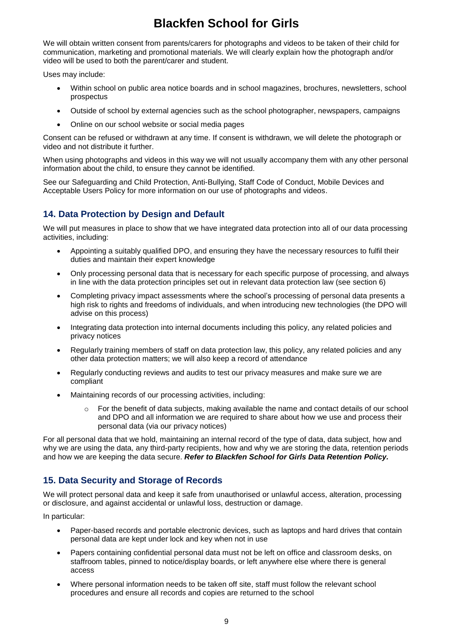We will obtain written consent from parents/carers for photographs and videos to be taken of their child for communication, marketing and promotional materials. We will clearly explain how the photograph and/or video will be used to both the parent/carer and student.

Uses may include:

- Within school on public area notice boards and in school magazines, brochures, newsletters, school prospectus
- Outside of school by external agencies such as the school photographer, newspapers, campaigns
- Online on our school website or social media pages

Consent can be refused or withdrawn at any time. If consent is withdrawn, we will delete the photograph or video and not distribute it further.

When using photographs and videos in this way we will not usually accompany them with any other personal information about the child, to ensure they cannot be identified.

See our Safeguarding and Child Protection, Anti-Bullying, Staff Code of Conduct, Mobile Devices and Acceptable Users Policy for more information on our use of photographs and videos.

# **14. Data Protection by Design and Default**

We will put measures in place to show that we have integrated data protection into all of our data processing activities, including:

- Appointing a suitably qualified DPO, and ensuring they have the necessary resources to fulfil their duties and maintain their expert knowledge
- Only processing personal data that is necessary for each specific purpose of processing, and always in line with the data protection principles set out in relevant data protection law (see section 6)
- Completing privacy impact assessments where the school's processing of personal data presents a high risk to rights and freedoms of individuals, and when introducing new technologies (the DPO will advise on this process)
- Integrating data protection into internal documents including this policy, any related policies and privacy notices
- Regularly training members of staff on data protection law, this policy, any related policies and any other data protection matters; we will also keep a record of attendance
- Regularly conducting reviews and audits to test our privacy measures and make sure we are compliant
- Maintaining records of our processing activities, including:
	- $\circ$  For the benefit of data subjects, making available the name and contact details of our school and DPO and all information we are required to share about how we use and process their personal data (via our privacy notices)

For all personal data that we hold, maintaining an internal record of the type of data, data subject, how and why we are using the data, any third-party recipients, how and why we are storing the data, retention periods and how we are keeping the data secure. *Refer to Blackfen School for Girls Data Retention Policy.* 

## **15. Data Security and Storage of Records**

We will protect personal data and keep it safe from unauthorised or unlawful access, alteration, processing or disclosure, and against accidental or unlawful loss, destruction or damage.

In particular:

- Paper-based records and portable electronic devices, such as laptops and hard drives that contain personal data are kept under lock and key when not in use
- Papers containing confidential personal data must not be left on office and classroom desks, on staffroom tables, pinned to notice/display boards, or left anywhere else where there is general access
- Where personal information needs to be taken off site, staff must follow the relevant school procedures and ensure all records and copies are returned to the school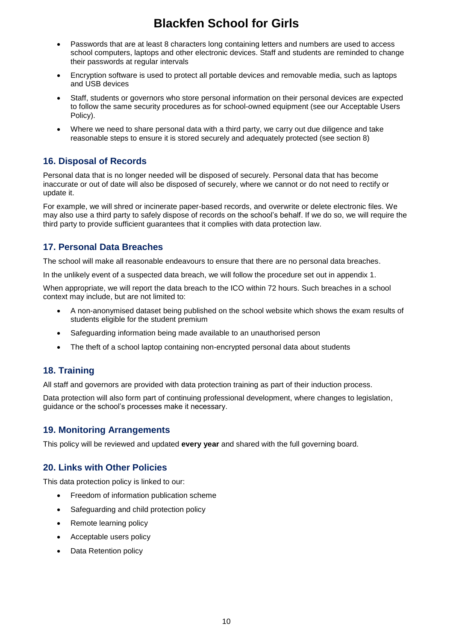- Passwords that are at least 8 characters long containing letters and numbers are used to access school computers, laptops and other electronic devices. Staff and students are reminded to change their passwords at regular intervals
- Encryption software is used to protect all portable devices and removable media, such as laptops and USB devices
- Staff, students or governors who store personal information on their personal devices are expected to follow the same security procedures as for school-owned equipment (see our Acceptable Users Policy).
- Where we need to share personal data with a third party, we carry out due diligence and take reasonable steps to ensure it is stored securely and adequately protected (see section 8)

## **16. Disposal of Records**

Personal data that is no longer needed will be disposed of securely. Personal data that has become inaccurate or out of date will also be disposed of securely, where we cannot or do not need to rectify or update it.

For example, we will shred or incinerate paper-based records, and overwrite or delete electronic files. We may also use a third party to safely dispose of records on the school's behalf. If we do so, we will require the third party to provide sufficient guarantees that it complies with data protection law.

# **17. Personal Data Breaches**

The school will make all reasonable endeavours to ensure that there are no personal data breaches.

In the unlikely event of a suspected data breach, we will follow the procedure set out in appendix 1.

When appropriate, we will report the data breach to the ICO within 72 hours. Such breaches in a school context may include, but are not limited to:

- A non-anonymised dataset being published on the school website which shows the exam results of students eligible for the student premium
- Safeguarding information being made available to an unauthorised person
- The theft of a school laptop containing non-encrypted personal data about students

# **18. Training**

All staff and governors are provided with data protection training as part of their induction process.

Data protection will also form part of continuing professional development, where changes to legislation, guidance or the school's processes make it necessary.

## **19. Monitoring Arrangements**

This policy will be reviewed and updated **every year** and shared with the full governing board.

## **20. Links with Other Policies**

This data protection policy is linked to our:

- Freedom of information publication scheme
- Safeguarding and child protection policy
- Remote learning policy
- Acceptable users policy
- Data Retention policy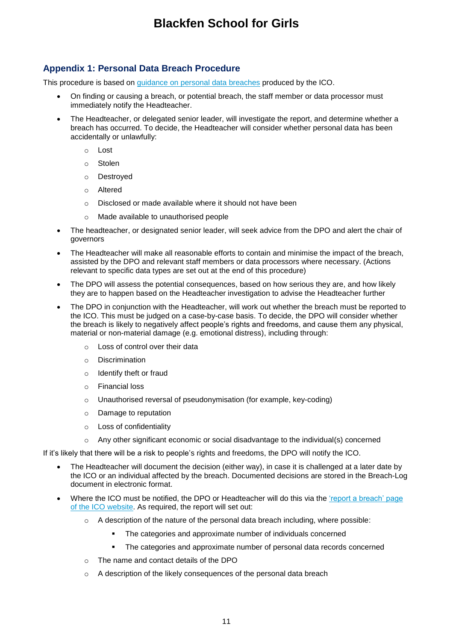# **Appendix 1: Personal Data Breach Procedure**

This procedure is based on [guidance on personal data breaches](https://ico.org.uk/for-organisations/guide-to-the-general-data-protection-regulation-gdpr/personal-data-breaches/) produced by the ICO.

- On finding or causing a breach, or potential breach, the staff member or data processor must immediately notify the Headteacher.
- The Headteacher, or delegated senior leader, will investigate the report, and determine whether a breach has occurred. To decide, the Headteacher will consider whether personal data has been accidentally or unlawfully:
	- o Lost
	- o Stolen
	- o Destroyed
	- o Altered
	- o Disclosed or made available where it should not have been
	- o Made available to unauthorised people
- The headteacher, or designated senior leader, will seek advice from the DPO and alert the chair of governors
- The Headteacher will make all reasonable efforts to contain and minimise the impact of the breach, assisted by the DPO and relevant staff members or data processors where necessary. (Actions relevant to specific data types are set out at the end of this procedure)
- The DPO will assess the potential consequences, based on how serious they are, and how likely they are to happen based on the Headteacher investigation to advise the Headteacher further
- The DPO in conjunction with the Headteacher, will work out whether the breach must be reported to the ICO. This must be judged on a case-by-case basis. To decide, the DPO will consider whether the breach is likely to negatively affect people's rights and freedoms, and cause them any physical, material or non-material damage (e.g. emotional distress), including through:
	- o Loss of control over their data
	- o Discrimination
	- o Identify theft or fraud
	- o Financial loss
	- o Unauthorised reversal of pseudonymisation (for example, key-coding)
	- o Damage to reputation
	- o Loss of confidentiality
	- o Any other significant economic or social disadvantage to the individual(s) concerned

If it's likely that there will be a risk to people's rights and freedoms, the DPO will notify the ICO.

- The Headteacher will document the decision (either way), in case it is challenged at a later date by the ICO or an individual affected by the breach. Documented decisions are stored in the Breach-Log document in electronic format.
- Where the ICO must be notified, the DPO or Headteacher will do this via the ['report a breach' page](https://ico.org.uk/for-organisations/report-a-breach/)  [of the ICO website.](https://ico.org.uk/for-organisations/report-a-breach/) As required, the report will set out:
	- $\circ$  A description of the nature of the personal data breach including, where possible:
		- **The categories and approximate number of individuals concerned**
		- The categories and approximate number of personal data records concerned
	- o The name and contact details of the DPO
	- o A description of the likely consequences of the personal data breach